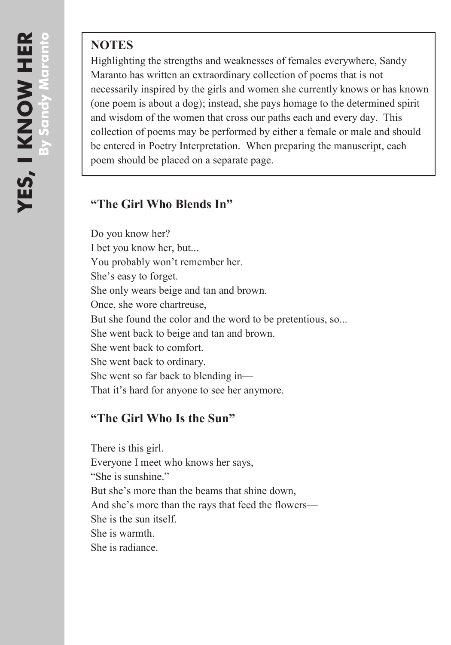## **NOTES**

Highlighting the strengths and weaknesses of females everywhere, Sandy Maranto has written an extraordinary collection of poems that is not necessarily inspired by the girls and women she currently knows or has known (one poem is about a dog); instead, she pays homage to the determined spirit and wisdom of the women that cross our paths each and every day. This collection of poems may be performed by either a female or male and should be entered in Poetry Interpretation. When preparing the manuscript, each poem should be placed on a separate page.

## **"The Girl Who Blends In"**

Do you know her? I bet you know her, but... You probably won't remember her. She's easy to forget. She only wears beige and tan and brown. Once, she wore chartreuse, But she found the color and the word to be pretentious, so... She went back to beige and tan and brown. She went back to comfort. She went back to ordinary. She went so far back to blending in— That it's hard for anyone to see her anymore.

## **"The Girl Who Is the Sun"**

There is this girl. Everyone I meet who knows her says, "She is sunshine." But she's more than the beams that shine down, And she's more than the rays that feed the flowers— She is the sun itself. She is warmth. She is radiance.